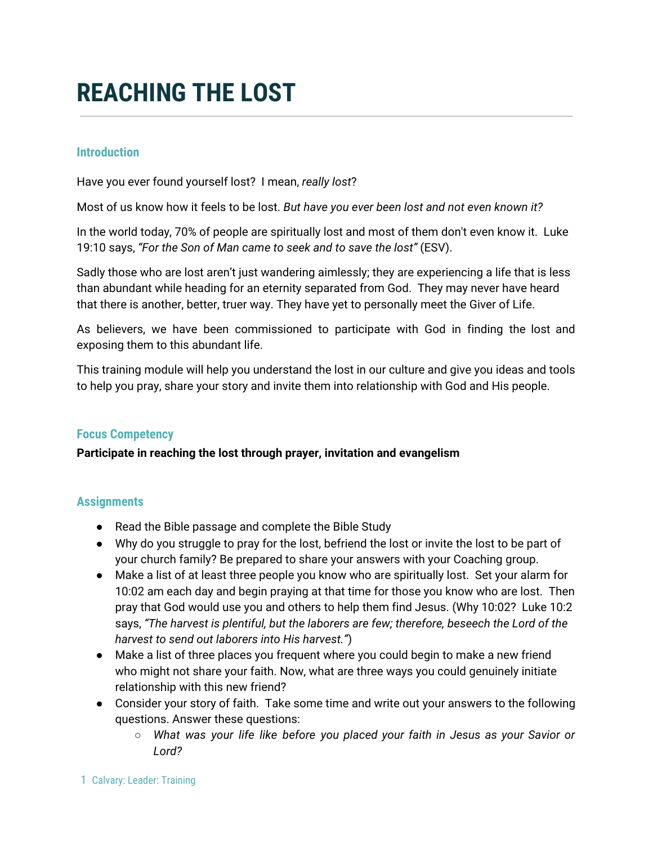# **REACHING THE LOST**

## **Introduction**

Have you ever found yourself lost? I mean, *really lost*?

Most of us know how it feels to be lost. *But have you ever been lost and not even known it?*

In the world today, 70% of people are spiritually lost and most of them don't even know it. Luke 19:10 says, *"For the Son of Man came to seek and to save the lost"* (ESV).

Sadly those who are lost aren't just wandering aimlessly; they are experiencing a life that is less than abundant while heading for an eternity separated from God. They may never have heard that there is another, better, truer way. They have yet to personally meet the Giver of Life.

As believers, we have been commissioned to participate with God in finding the lost and exposing them to this abundant life.

This training module will help you understand the lost in our culture and give you ideas and tools to help you pray, share your story and invite them into relationship with God and His people.

#### **Focus Competency**

#### **Participate in reaching the lost through prayer, invitation and evangelism**

#### **Assignments**

- Read the Bible passage and complete the Bible Study
- Why do you struggle to pray for the lost, befriend the lost or invite the lost to be part of your church family? Be prepared to share your answers with your Coaching group.
- Make a list of at least three people you know who are spiritually lost. Set your alarm for 10:02 am each day and begin praying at that time for those you know who are lost. Then pray that God would use you and others to help them find Jesus. (Why 10:02? Luke 10:2 says, *"The harvest is plentiful, but the laborers are few; therefore, beseech the Lord of the harvest to send out laborers into His harvest."*)
- Make a list of three places you frequent where you could begin to make a new friend who might not share your faith. Now, what are three ways you could genuinely initiate relationship with this new friend?
- Consider your story of faith. Take some time and write out your answers to the following questions. Answer these questions:
	- *○ What was your life like before you placed your faith in Jesus as your Savior or Lord?*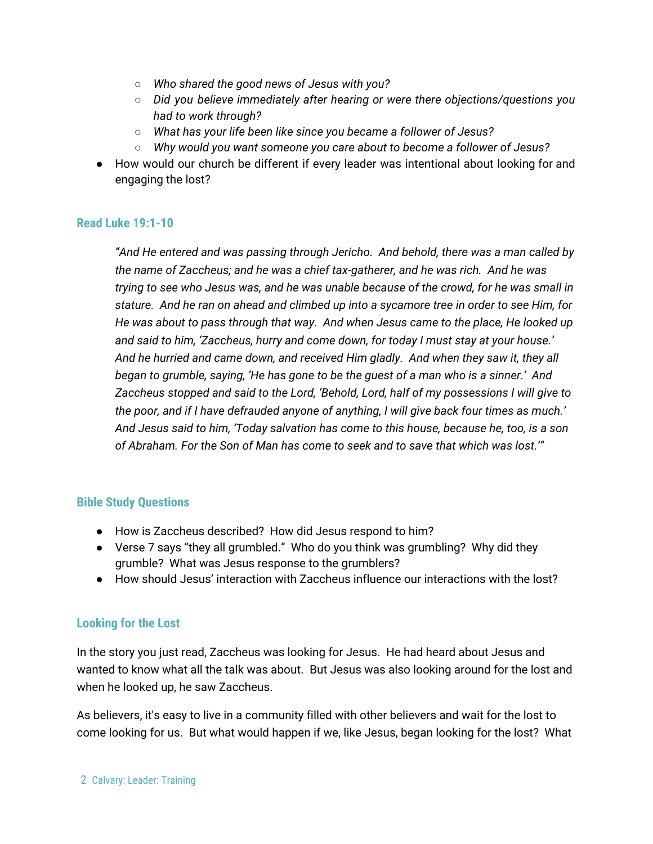- *○ Who shared the good news of Jesus with you?*
- *○ Did you believe immediately after hearing or were there objections/questions you had to work through?*
- *○ What has your life been like since you became a follower of Jesus?*
- *○ Why would you want someone you care about to become a follower of Jesus?*
- How would our church be different if every leader was intentional about looking for and engaging the lost?

## **Read Luke 19:1-10**

*"And He entered and was passing through Jericho. And behold, there was a man called by the name of Zaccheus; and he was a chief tax-gatherer, and he was rich. And he was trying to see who Jesus was, and he was unable because of the crowd, for he was small in stature. And he ran on ahead and climbed up into a sycamore tree in order to see Him, for He was about to pass through that way. And when Jesus came to the place, He looked up and said to him, 'Zaccheus, hurry and come down, for today I must stay at your house.' And he hurried and came down, and received Him gladly. And when they saw it, they all began to grumble, saying, 'He has gone to be the guest of a man who is a sinner.' And Zaccheus stopped and said to the Lord, 'Behold, Lord, half of my possessions I will give to the poor, and if I have defrauded anyone of anything, I will give back four times as much.' And Jesus said to him, 'Today salvation has come to this house, because he, too, is a son of Abraham. For the Son of Man has come to seek and to save that which was lost.'"*

# **Bible Study Questions**

- How is Zaccheus described? How did Jesus respond to him?
- Verse 7 says "they all grumbled." Who do you think was grumbling? Why did they grumble? What was Jesus response to the grumblers?
- How should Jesus' interaction with Zaccheus influence our interactions with the lost?

# **Looking for the Lost**

In the story you just read, Zaccheus was looking for Jesus. He had heard about Jesus and wanted to know what all the talk was about. But Jesus was also looking around for the lost and when he looked up, he saw Zaccheus.

As believers, it's easy to live in a community filled with other believers and wait for the lost to come looking for us. But what would happen if we, like Jesus, began looking for the lost? What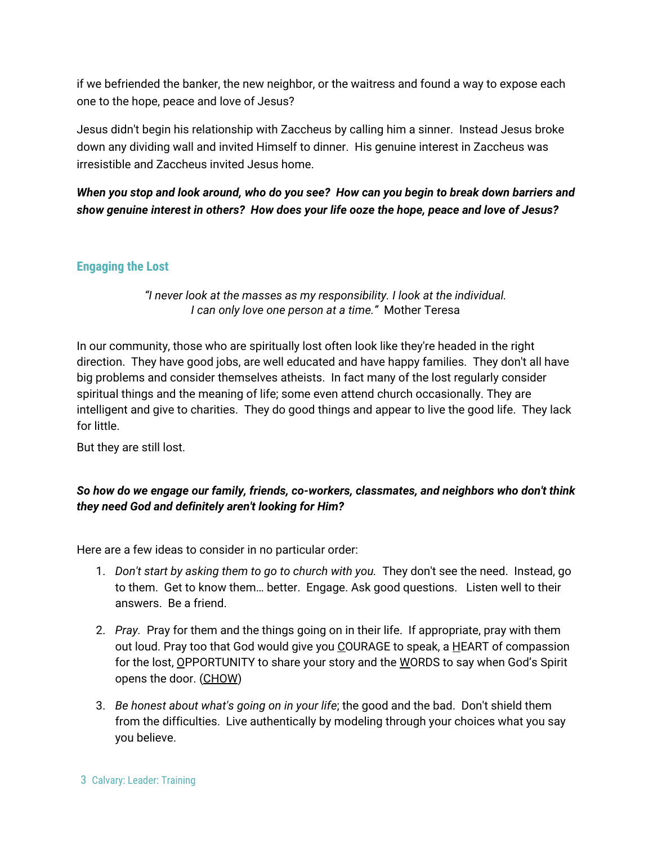if we befriended the banker, the new neighbor, or the waitress and found a way to expose each one to the hope, peace and love of Jesus?

Jesus didn't begin his relationship with Zaccheus by calling him a sinner. Instead Jesus broke down any dividing wall and invited Himself to dinner. His genuine interest in Zaccheus was irresistible and Zaccheus invited Jesus home.

# *When you stop and look around, who do you see? How can you begin to break down barriers and show genuine interest in others? How does your life ooze the hope, peace and love of Jesus?*

# **Engaging the Lost**

#### *"I never look at the masses as my responsibility. I look at the individual. I can only love one person at a time."* Mother Teresa

In our community, those who are spiritually lost often look like they're headed in the right direction. They have good jobs, are well educated and have happy families. They don't all have big problems and consider themselves atheists. In fact many of the lost regularly consider spiritual things and the meaning of life; some even attend church occasionally. They are intelligent and give to charities. They do good things and appear to live the good life. They lack for little.

But they are still lost.

# *So how do we engage our family, friends, co-workers, classmates, and neighbors who don't think they need God and definitely aren't looking for Him?*

Here are a few ideas to consider in no particular order:

- 1. *Don't start by asking them to go to church with you.* They don't see the need. Instead, go to them. Get to know them… better. Engage. Ask good questions. Listen well to their answers. Be a friend.
- 2. *Pray.* Pray for them and the things going on in their life. If appropriate, pray with them out loud. Pray too that God would give you COURAGE to speak, a HEART of compassion for the lost, OPPORTUNITY to share your story and the WORDS to say when God's Spirit opens the door. (CHOW)
- 3. *Be honest about what's going on in your life*; the good and the bad. Don't shield them from the difficulties. Live authentically by modeling through your choices what you say you believe.